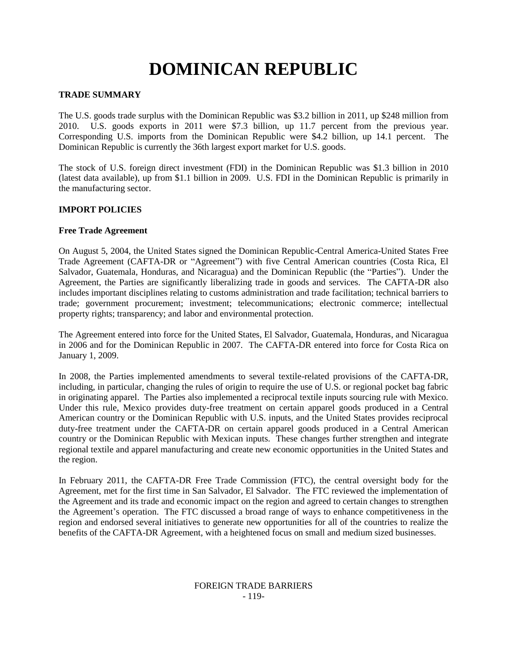# **DOMINICAN REPUBLIC**

## **TRADE SUMMARY**

The U.S. goods trade surplus with the Dominican Republic was \$3.2 billion in 2011, up \$248 million from 2010. U.S. goods exports in 2011 were \$7.3 billion, up 11.7 percent from the previous year. Corresponding U.S. imports from the Dominican Republic were \$4.2 billion, up 14.1 percent. The Dominican Republic is currently the 36th largest export market for U.S. goods.

The stock of U.S. foreign direct investment (FDI) in the Dominican Republic was \$1.3 billion in 2010 (latest data available), up from \$1.1 billion in 2009. U.S. FDI in the Dominican Republic is primarily in the manufacturing sector.

#### **IMPORT POLICIES**

#### **Free Trade Agreement**

On August 5, 2004, the United States signed the Dominican Republic-Central America-United States Free Trade Agreement (CAFTA-DR or "Agreement") with five Central American countries (Costa Rica, El Salvador, Guatemala, Honduras, and Nicaragua) and the Dominican Republic (the "Parties"). Under the Agreement, the Parties are significantly liberalizing trade in goods and services. The CAFTA-DR also includes important disciplines relating to customs administration and trade facilitation; technical barriers to trade; government procurement; investment; telecommunications; electronic commerce; intellectual property rights; transparency; and labor and environmental protection.

The Agreement entered into force for the United States, El Salvador, Guatemala, Honduras, and Nicaragua in 2006 and for the Dominican Republic in 2007. The CAFTA-DR entered into force for Costa Rica on January 1, 2009.

In 2008, the Parties implemented amendments to several textile-related provisions of the CAFTA-DR, including, in particular, changing the rules of origin to require the use of U.S. or regional pocket bag fabric in originating apparel. The Parties also implemented a reciprocal textile inputs sourcing rule with Mexico. Under this rule, Mexico provides duty-free treatment on certain apparel goods produced in a Central American country or the Dominican Republic with U.S. inputs, and the United States provides reciprocal duty-free treatment under the CAFTA-DR on certain apparel goods produced in a Central American country or the Dominican Republic with Mexican inputs. These changes further strengthen and integrate regional textile and apparel manufacturing and create new economic opportunities in the United States and the region.

In February 2011, the CAFTA-DR Free Trade Commission (FTC), the central oversight body for the Agreement, met for the first time in San Salvador, El Salvador. The FTC reviewed the implementation of the Agreement and its trade and economic impact on the region and agreed to certain changes to strengthen the Agreement"s operation. The FTC discussed a broad range of ways to enhance competitiveness in the region and endorsed several initiatives to generate new opportunities for all of the countries to realize the benefits of the CAFTA-DR Agreement, with a heightened focus on small and medium sized businesses.

#### FOREIGN TRADE BARRIERS - 119-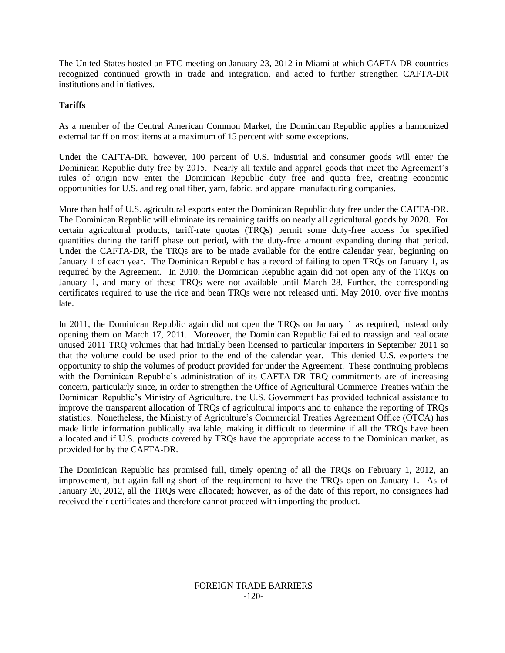The United States hosted an FTC meeting on January 23, 2012 in Miami at which CAFTA-DR countries recognized continued growth in trade and integration, and acted to further strengthen CAFTA-DR institutions and initiatives.

## **Tariffs**

As a member of the Central American Common Market, the Dominican Republic applies a harmonized external tariff on most items at a maximum of 15 percent with some exceptions.

Under the CAFTA-DR, however, 100 percent of U.S. industrial and consumer goods will enter the Dominican Republic duty free by 2015. Nearly all textile and apparel goods that meet the Agreement's rules of origin now enter the Dominican Republic duty free and quota free, creating economic opportunities for U.S. and regional fiber, yarn, fabric, and apparel manufacturing companies.

More than half of U.S. agricultural exports enter the Dominican Republic duty free under the CAFTA-DR. The Dominican Republic will eliminate its remaining tariffs on nearly all agricultural goods by 2020. For certain agricultural products, tariff-rate quotas (TRQs) permit some duty-free access for specified quantities during the tariff phase out period, with the duty-free amount expanding during that period. Under the CAFTA-DR, the TRQs are to be made available for the entire calendar year, beginning on January 1 of each year. The Dominican Republic has a record of failing to open TRQs on January 1, as required by the Agreement. In 2010, the Dominican Republic again did not open any of the TRQs on January 1, and many of these TRQs were not available until March 28. Further, the corresponding certificates required to use the rice and bean TRQs were not released until May 2010, over five months late.

In 2011, the Dominican Republic again did not open the TRQs on January 1 as required, instead only opening them on March 17, 2011. Moreover, the Dominican Republic failed to reassign and reallocate unused 2011 TRQ volumes that had initially been licensed to particular importers in September 2011 so that the volume could be used prior to the end of the calendar year. This denied U.S. exporters the opportunity to ship the volumes of product provided for under the Agreement. These continuing problems with the Dominican Republic's administration of its CAFTA-DR TRQ commitments are of increasing concern, particularly since, in order to strengthen the Office of Agricultural Commerce Treaties within the Dominican Republic"s Ministry of Agriculture, the U.S. Government has provided technical assistance to improve the transparent allocation of TRQs of agricultural imports and to enhance the reporting of TRQs statistics. Nonetheless, the Ministry of Agriculture's Commercial Treaties Agreement Office (OTCA) has made little information publically available, making it difficult to determine if all the TRQs have been allocated and if U.S. products covered by TRQs have the appropriate access to the Dominican market, as provided for by the CAFTA-DR.

The Dominican Republic has promised full, timely opening of all the TRQs on February 1, 2012, an improvement, but again falling short of the requirement to have the TRQs open on January 1. As of January 20, 2012, all the TRQs were allocated; however, as of the date of this report, no consignees had received their certificates and therefore cannot proceed with importing the product.

## FOREIGN TRADE BARRIERS -120-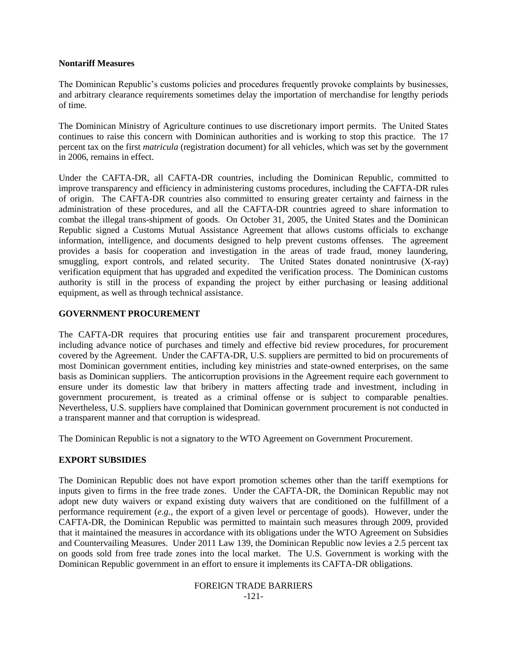#### **Nontariff Measures**

The Dominican Republic"s customs policies and procedures frequently provoke complaints by businesses, and arbitrary clearance requirements sometimes delay the importation of merchandise for lengthy periods of time.

The Dominican Ministry of Agriculture continues to use discretionary import permits. The United States continues to raise this concern with Dominican authorities and is working to stop this practice. The 17 percent tax on the first *matricula* (registration document) for all vehicles, which was set by the government in 2006, remains in effect.

Under the CAFTA-DR, all CAFTA-DR countries, including the Dominican Republic, committed to improve transparency and efficiency in administering customs procedures, including the CAFTA-DR rules of origin. The CAFTA-DR countries also committed to ensuring greater certainty and fairness in the administration of these procedures, and all the CAFTA-DR countries agreed to share information to combat the illegal trans-shipment of goods. On October 31, 2005, the United States and the Dominican Republic signed a Customs Mutual Assistance Agreement that allows customs officials to exchange information, intelligence, and documents designed to help prevent customs offenses. The agreement provides a basis for cooperation and investigation in the areas of trade fraud, money laundering, smuggling, export controls, and related security. The United States donated nonintrusive (X-ray) verification equipment that has upgraded and expedited the verification process. The Dominican customs authority is still in the process of expanding the project by either purchasing or leasing additional equipment, as well as through technical assistance.

## **GOVERNMENT PROCUREMENT**

The CAFTA-DR requires that procuring entities use fair and transparent procurement procedures, including advance notice of purchases and timely and effective bid review procedures, for procurement covered by the Agreement. Under the CAFTA-DR, U.S. suppliers are permitted to bid on procurements of most Dominican government entities, including key ministries and state-owned enterprises, on the same basis as Dominican suppliers. The anticorruption provisions in the Agreement require each government to ensure under its domestic law that bribery in matters affecting trade and investment, including in government procurement, is treated as a criminal offense or is subject to comparable penalties. Nevertheless, U.S. suppliers have complained that Dominican government procurement is not conducted in a transparent manner and that corruption is widespread.

The Dominican Republic is not a signatory to the WTO Agreement on Government Procurement.

# **EXPORT SUBSIDIES**

The Dominican Republic does not have export promotion schemes other than the tariff exemptions for inputs given to firms in the free trade zones. Under the CAFTA-DR, the Dominican Republic may not adopt new duty waivers or expand existing duty waivers that are conditioned on the fulfillment of a performance requirement (*e.g.*, the export of a given level or percentage of goods). However, under the CAFTA-DR, the Dominican Republic was permitted to maintain such measures through 2009, provided that it maintained the measures in accordance with its obligations under the WTO Agreement on Subsidies and Countervailing Measures. Under 2011 Law 139, the Dominican Republic now levies a 2.5 percent tax on goods sold from free trade zones into the local market. The U.S. Government is working with the Dominican Republic government in an effort to ensure it implements its CAFTA-DR obligations.